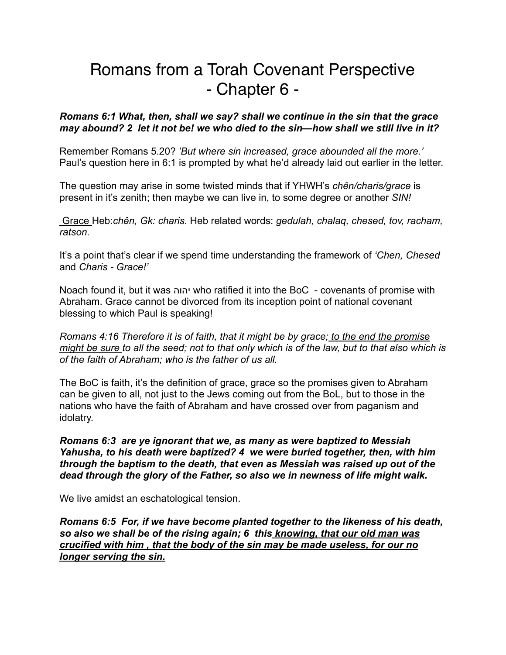## Romans from a Torah Covenant Perspective - Chapter 6 -

*Romans 6:1 What, then, shall we say? shall we continue in the sin that the grace may abound? 2 let it not be! we who died to the sin—how shall we still live in it?*

Remember Romans 5.20? *'But where sin increased, grace abounded all the more.'*  Paul's question here in 6:1 is prompted by what he'd already laid out earlier in the letter.

The question may arise in some twisted minds that if YHWH's *chên/charis/grace* is present in it's zenith; then maybe we can live in, to some degree or another *SIN!* 

 Grace Heb:*chên, Gk: charis.* Heb related words: *gedulah, chalaq, chesed, tov, racham, ratson.* 

It's a point that's clear if we spend time understanding the framework of *'Chen, Chesed*  and *Charis - Grace!'* 

Noach found it, but it was יהוה who ratified it into the BoC - covenants of promise with Abraham. Grace cannot be divorced from its inception point of national covenant blessing to which Paul is speaking!

*Romans 4:16 Therefore it is of faith, that it might be by grace; to the end the promise might be sure to all the seed; not to that only which is of the law, but to that also which is of the faith of Abraham; who is the father of us all.* 

The BoC is faith, it's the definition of grace, grace so the promises given to Abraham can be given to all, not just to the Jews coming out from the BoL, but to those in the nations who have the faith of Abraham and have crossed over from paganism and idolatry.

*Romans 6:3 are ye ignorant that we, as many as were baptized to Messiah Yahusha, to his death were baptized? 4 we were buried together, then, with him through the baptism to the death, that even as Messiah was raised up out of the dead through the glory of the Father, so also we in newness of life might walk.*

We live amidst an eschatological tension.

*Romans 6:5 For, if we have become planted together to the likeness of his death, so also we shall be of the rising again; 6 this knowing, that our old man was crucified with him , that the body of the sin may be made useless, for our no longer serving the sin.*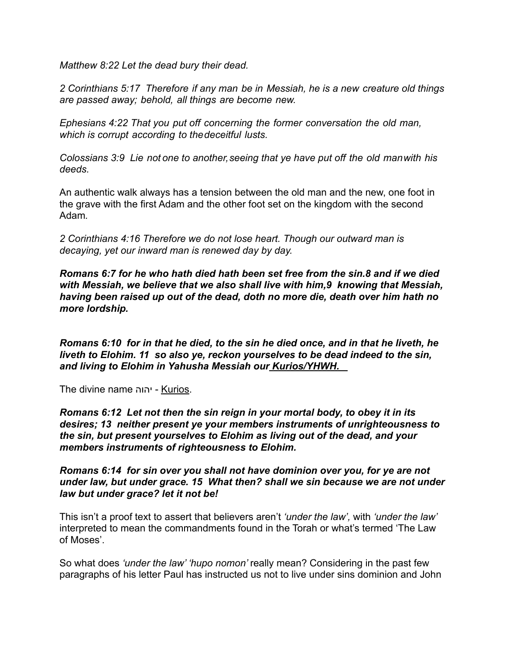*Matthew 8:22 Let the dead bury their dead.* 

*2 Corinthians 5:17 Therefore if any man be in Messiah, he is a new creature old things are passed away; behold, all things are become new.*

*Ephesians 4:22 That you put off concerning the former conversation the old man, which is corrupt according to thedeceitful lusts.* 

*Colossians 3:9 Lie not  one to another,seeing that ye have put off the old manwith his deeds.* 

An authentic walk always has a tension between the old man and the new, one foot in the grave with the first Adam and the other foot set on the kingdom with the second Adam*.* 

*2 Corinthians 4:16 Therefore we do not lose heart. Though our outward man is decaying, yet our inward man is renewed day by day.* 

*Romans 6:7 for he who hath died hath been set free from the sin.8 and if we died with Messiah, we believe that we also shall live with him,9 knowing that Messiah, having been raised up out of the dead, doth no more die, death over him hath no more lordship.* 

*Romans 6:10 for in that he died, to the sin he died once, and in that he liveth, he liveth to Elohim. 11 so also ye, reckon yourselves to be dead indeed to the sin, and living to Elohim in Yahusha Messiah our Kurios/YHWH.* 

The divine name יהוה - Kurios.

*Romans 6:12 Let not then the sin reign in your mortal body, to obey it in its desires; 13 neither present ye your members instruments of unrighteousness to the sin, but present yourselves to Elohim as living out of the dead, and your members instruments of righteousness to Elohim.* 

*Romans 6:14 for sin over you shall not have dominion over you, for ye are not under law, but under grace. 15 What then? shall we sin because we are not under law but under grace? let it not be!*

This isn't a proof text to assert that believers aren't *'under the law',* with *'under the law'*  interpreted to mean the commandments found in the Torah or what's termed 'The Law of Moses'.

So what does *'under the law' 'hupo nomon'* really mean? Considering in the past few paragraphs of his letter Paul has instructed us not to live under sins dominion and John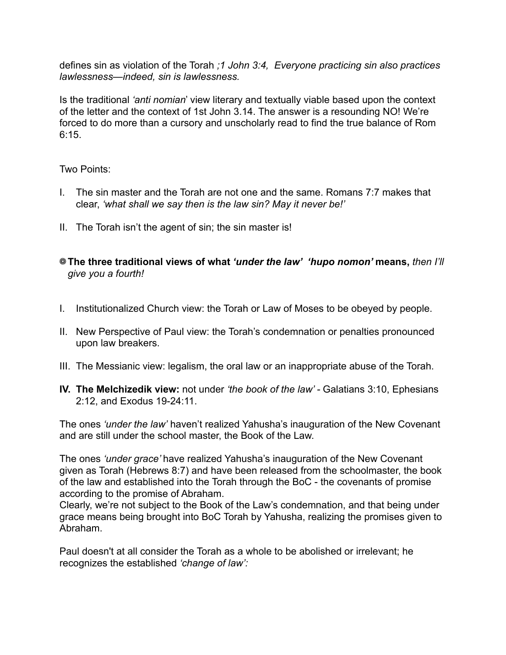defines sin as violation of the Torah *;1 John 3:4, Everyone practicing sin also practices lawlessness—indeed, sin is lawlessness.* 

Is the traditional *'anti nomian*' view literary and textually viable based upon the context of the letter and the context of 1st John 3.14. The answer is a resounding NO! We're forced to do more than a cursory and unscholarly read to find the true balance of Rom 6:15.

## Two Points:

- I. The sin master and the Torah are not one and the same. Romans 7:7 makes that clear, *'what shall we say then is the law sin? May it never be!'*
- II. The Torah isn't the agent of sin; the sin master is!
- **The three traditional views of what** *'under the law' 'hupo nomon'* **means,** *then I'll give you a fourth!*
- I. Institutionalized Church view: the Torah or Law of Moses to be obeyed by people.
- II. New Perspective of Paul view: the Torah's condemnation or penalties pronounced upon law breakers.
- III. The Messianic view: legalism, the oral law or an inappropriate abuse of the Torah.
- **IV. The Melchizedik view:** not under *'the book of the law' -* Galatians 3:10, Ephesians 2:12, and Exodus 19-24:11.

The ones *'under the law'* haven't realized Yahusha's inauguration of the New Covenant and are still under the school master, the Book of the Law.

The ones *'under grace'* have realized Yahusha's inauguration of the New Covenant given as Torah (Hebrews 8:7) and have been released from the schoolmaster, the book of the law and established into the Torah through the BoC - the covenants of promise according to the promise of Abraham.

Clearly, we're not subject to the Book of the Law's condemnation, and that being under grace means being brought into BoC Torah by Yahusha, realizing the promises given to Abraham.

Paul doesn't at all consider the Torah as a whole to be abolished or irrelevant; he recognizes the established *'change of law':*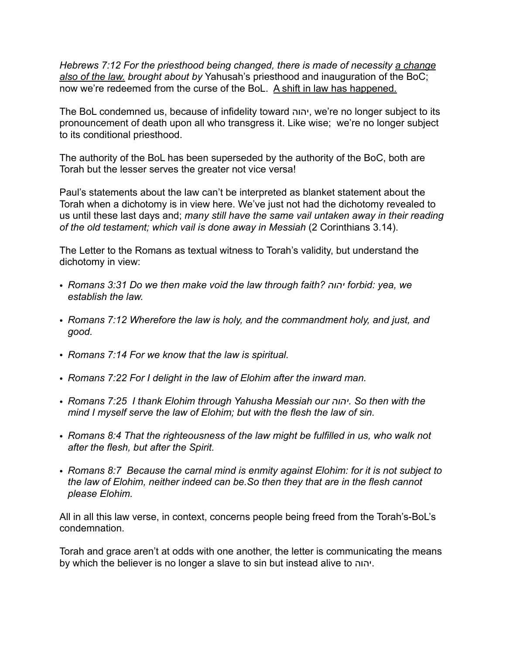*Hebrews 7:12 For the priesthood being changed, there is made of necessity a change also of the law. brought about by* Yahusah's priesthood and inauguration of the BoC; now we're redeemed from the curse of the BoL. A shift in law has happened.

The BoL condemned us, because of infidelity toward יהוה, we're no longer subject to its pronouncement of death upon all who transgress it. Like wise; we're no longer subject to its conditional priesthood.

The authority of the BoL has been superseded by the authority of the BoC, both are Torah but the lesser serves the greater not vice versa!

Paul's statements about the law can't be interpreted as blanket statement about the Torah when a dichotomy is in view here. We've just not had the dichotomy revealed to us until these last days and; *many still have the same vail untaken away in their reading of the old testament; which vail is done away in Messiah* (2 Corinthians 3.14).

The Letter to the Romans as textual witness to Torah's validity, but understand the dichotomy in view:

- *• Romans 3:31 Do we then make void the law through faith? יהוה forbid: yea, we establish the law.*
- *• Romans 7:12 Wherefore the law is holy, and the commandment holy, and just, and good.*
- *• Romans 7:14 For we know that the law is spiritual.*
- *• Romans 7:22 For I delight in the law of Elohim after the inward man.*
- *• Romans 7:25 I thank Elohim through Yahusha Messiah our יהוה. So then with the mind I myself serve the law of Elohim; but with the flesh the law of sin.*
- Romans 8:4 That the righteousness of the law might be fulfilled in us, who walk not *after the flesh, but after the Spirit.*
- *• Romans 8:7 Because the carnal mind is enmity against Elohim: for it is not subject to the law of Elohim, neither indeed can be.So then they that are in the flesh cannot please Elohim.*

All in all this law verse, in context, concerns people being freed from the Torah's-BoL's condemnation.

Torah and grace aren't at odds with one another, the letter is communicating the means by which the believer is no longer a slave to sin but instead alive to יהוה.